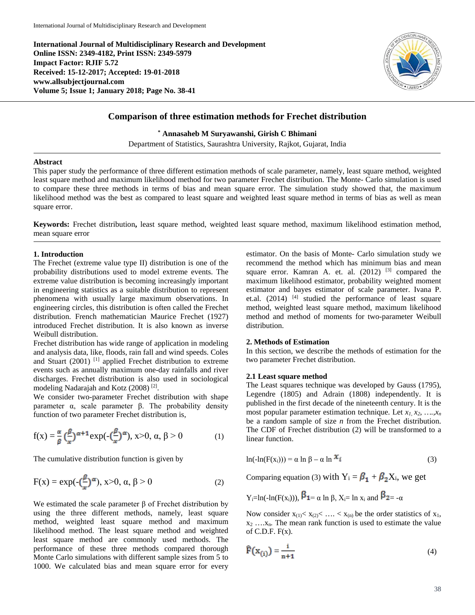**International Journal of Multidisciplinary Research and Development Online ISSN: 2349-4182, Print ISSN: 2349-5979 Impact Factor: RJIF 5.72 Received: 15-12-2017; Accepted: 19-01-2018 www.allsubjectjournal.com Volume 5; Issue 1; January 2018; Page No. 38-41**



# **Comparison of three estimation methods for Frechet distribution**

**\* Annasaheb M Suryawanshi, Girish C Bhimani**

Department of Statistics, Saurashtra University, Rajkot, Gujarat, India

#### **Abstract**

This paper study the performance of three different estimation methods of scale parameter, namely, least square method, weighted least square method and maximum likelihood method for two parameter Frechet distribution. The Monte- Carlo simulation is used to compare these three methods in terms of bias and mean square error. The simulation study showed that, the maximum likelihood method was the best as compared to least square and weighted least square method in terms of bias as well as mean square error.

**Keywords:** Frechet distribution**,** least square method, weighted least square method, maximum likelihood estimation method, mean square error

#### **1. Introduction**

The Frechet (extreme value type II) distribution is one of the probability distributions used to model extreme events. The extreme value distribution is becoming increasingly important in engineering statistics as a suitable distribution to represent phenomena with usually large maximum observations. In engineering circles, this distribution is often called the Frechet distribution. French mathematician Maurice Frechet (1927) introduced Frechet distribution. It is also known as inverse Weibull distribution.

Frechet distribution has wide range of application in modeling and analysis data, like, floods, rain fall and wind speeds. Coles and Stuart (2001) <sup>[1]</sup> applied Frechet distribution to extreme events such as annually maximum one-day rainfalls and river discharges. Frechet distribution is also used in sociological modeling Nadarajah and Kotz (2008) [2].

We consider two-parameter Frechet distribution with shape parameter α, scale parameter β. The probability density function of two parameter Frechet distribution is,

$$
f(x) = \frac{\alpha}{\beta} \left(\frac{\beta}{x}\right)^{\alpha+1} \exp(-\left(\frac{\beta}{x}\right)^{\alpha}), \quad x > 0, \quad \alpha, \beta > 0 \tag{1}
$$

The cumulative distribution function is given by

$$
F(x) = \exp(-\left(\frac{\beta}{x}\right)^{\alpha}), x > 0, \alpha, \beta > 0
$$
 (2)

We estimated the scale parameter  $β$  of Frechet distribution by using the three different methods, namely, least square method, weighted least square method and maximum likelihood method. The least square method and weighted least square method are commonly used methods. The performance of these three methods compared thorough Monte Carlo simulations with different sample sizes from 5 to 1000. We calculated bias and mean square error for every estimator. On the basis of Monte- Carlo simulation study we recommend the method which has minimum bias and mean square error. Kamran A. et. al.  $(2012)$  <sup>[3]</sup> compared the maximum likelihood estimator, probability weighted moment estimator and bayes estimator of scale parameter. Ivana P. et.al. (2014) <sup>[4]</sup> studied the performance of least square method, weighted least square method, maximum likelihood method and method of moments for two-parameter Weibull distribution.

#### **2. Methods of Estimation**

In this section, we describe the methods of estimation for the two parameter Frechet distribution.

### **2.1 Least square method**

The Least squares technique was developed by Gauss (1795), Legendre (1805) and Adrain (1808) independently. It is published in the first decade of the nineteenth century. It is the most popular parameter estimation technique. Let  $x_1, x_2, \ldots, x_n$ be a random sample of size *n* from the Frechet distribution. The CDF of Frechet distribution (2) will be transformed to a linear function.

$$
\ln(-\ln(F(x_i))) = \alpha \ln \beta - \alpha \ln \mathcal{X}_{\bar{x}}
$$
 (3)

Comparing equation (3) with  $Y_i = \beta_1 + \beta_2 X_i$ , we get

$$
Y_i = \ln(-\ln(F(x_i))),
$$
  $\beta_1 = \alpha \ln \beta, X_i = \ln x_i$  and  $\beta_2 = -\alpha$ 

Now consider  $x_{(1)} < x_{(2)} < ... < x_{(n)}$  be the order statistics of  $x_1$ ,  $x_2$  .... $x_n$ . The mean rank function is used to estimate the value of C.D.F.  $F(x)$ .

$$
\widehat{\mathbf{F}}(\mathbf{x}_{(i)}) = \frac{i}{n+1} \tag{4}
$$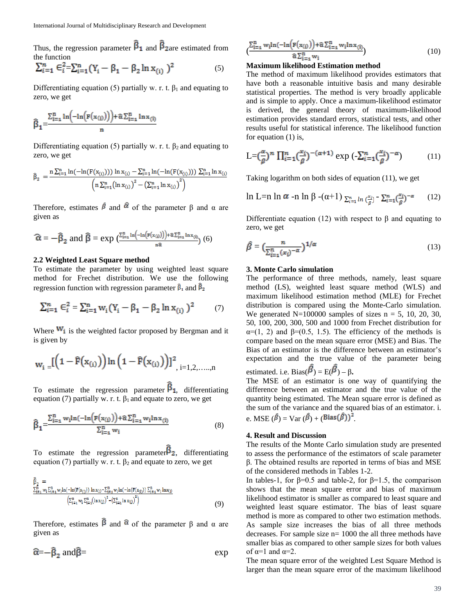Thus, the regression parameter  $\vec{B}_1$  and  $\vec{B}_2$  are estimated from the function

$$
\sum_{i=1}^{n} \varepsilon_i^2 = \sum_{i=1}^{n} (Y_i - \beta_1 - \beta_2 \ln x_{(i)})^2
$$
 (5)

Differentiating equation (5) partially w. r. t.  $\beta_1$  and equating to zero, we get

$$
\widehat{\beta}_1\!\!=\!\!\!\frac{\Sigma_{i=\texttt{i}}^n \ln\!\left(\!-\!\ln\!\left(\mathtt{F}(\mathtt{x}_{(i)})\right)\right)\!+\!\widehat{\alpha}\Sigma_{i=\texttt{i}}^n \ln \mathtt{x}_{(i)}}{n}
$$

Differentiating equation (5) partially w. r. t.  $\beta_2$  and equating to zero, we get

$$
\hat{\beta}_2 = \frac{n \sum_{i=1}^{n} \ln(-\ln(F(x_{(i)}))) \ln x_{(i)} - \sum_{i=1}^{n} \ln(-\ln(F(x_{(i)}))) \sum_{i=1}^{n} \ln x_{(i)}}{\left(n \sum_{i=1}^{n} (\ln x_{(i)})^2 - \left(\sum_{i=1}^{n} \ln x_{(i)}\right)^2\right)}
$$

Therefore, estimates  $\hat{\beta}$  and  $\hat{\alpha}$  of the parameter  $\beta$  and  $\alpha$  are given as

$$
\widehat{\alpha} = -\widehat{\beta}_2 \text{ and } \widehat{\beta} = \exp\big(\frac{\sum_{i=1}^n \ln\bigl(-\ln\bigl(F(x_{(i)})\bigr)\bigr) + \widehat{\alpha}\sum_{i=1}^n \ln x_{(i)}}{n\widehat{\alpha}}\big) (6)
$$

### **2.2 Weighted Least Square method**

To estimate the parameter by using weighted least square method for Frechet distribution. We use the following regression function with regression parameter  $\hat{\beta}_1$  and  $\hat{\beta}_2$ 

$$
\sum_{i=1}^{n} \mathbf{E}_{i}^{2} = \sum_{i=1}^{n} \mathbf{w}_{i} (\mathbf{Y}_{i} - \beta_{1} - \beta_{2} \ln \mathbf{x}_{(i)})^{2} \tag{7}
$$

Where  $W_i$  is the weighted factor proposed by Bergman and it is given by

$$
w_{i} = \left[\left(1 - \widehat{F}(x_{(i)})\right) \ln\left(1 - \widehat{F}(x_{(i)})\right)\right]^{2}, i = 1, 2, \ldots, n
$$

To estimate the regression parameter  $\widehat{\beta}_1$ , differentiating equation (7) partially w. r. t.  $\beta_1$  and equate to zero, we get

$$
\widehat{\beta}_1 = \frac{\sum_{i=1}^n w_i \ln(-\ln\left(F(x_{(i)})\right) + \widehat{\alpha} \sum_{i=1}^n w_i \ln x_{(i)}}{\sum_{i=1}^n w_i} \tag{8}
$$

To estimate the regression parameter  $\mathbf{B}_2$ , differentiating equation (7) partially w. r. t.  $\beta_2$  and equate to zero, we get

$$
\hat{\beta}_2 = \sum_{\substack{i=1 \ \text{with} \ (- \ln(F(x_{(i)})) \ln x_{(i)} - \sum_{i=1}^n w_i \ln(-\ln(F(x_{(i)})) \sum_{i=1}^n w_i \ln x_{(i)})}} \frac{\sum_{i=1}^n w_i \ln x_{(i)}}{\left(\sum_{i=1}^n w_i \sum_{i=1}^n (\ln x_{(i)})^2 - \left(\sum_{i=1}^n \ln x_{(i)}\right)^2\right)}
$$
\n(9)

Therefore, estimates  $\hat{\beta}$  and  $\hat{\alpha}$  of the parameter  $\beta$  and  $\alpha$  are given as

$$
\widehat{\alpha} = -\widehat{\beta}_2 \text{ and } \widehat{\beta} = \text{exp}
$$

$$
\frac{\sum_{i=1}^{n} w_i \ln(-\ln\left(F(x_{(i)})\right) + \hat{\alpha} \sum_{i=1}^{n} w_i \ln x_{(i)}}{\hat{\alpha} \sum_{i=1}^{n} w_i} \tag{10}
$$

#### **Maximum likelihood Estimation method**

The method of maximum likelihood provides estimators that have both a reasonable intuitive basis and many desirable statistical properties. The method is very broadly applicable and is simple to apply. Once a maximum-likelihood estimator is derived, the general theory of maximum-likelihood estimation provides standard errors, statistical tests, and other results useful for statistical inference. The likelihood function for equation (1) is,

$$
L = \left(\frac{\alpha}{\beta}\right)^n \prod_{i=1}^n \left(\frac{x_i}{\beta}\right)^{-(\alpha+1)} \exp\left(-\sum_{i=1}^n \left(\frac{x_i}{\beta}\right)^{-\alpha}\right) \tag{11}
$$

Taking logarithm on both sides of equation (11), we get

$$
\ln L = n \ln \alpha - n \ln \beta - (\alpha + 1) \sum_{i=1}^n \ln \left( \frac{x_i}{\beta} \right) - \sum_{i=1}^n \left( \frac{x_i}{\beta} \right)^{-\alpha} \tag{12}
$$

Differentiate equation (12) with respect to β and equating to zero, we get

$$
\hat{\beta} = \left(\frac{n}{\sum_{i=1}^{n} (x_i)^{-\alpha}}\right)^{1/\alpha} \tag{13}
$$

### **3. Monte Carlo simulation**

The performance of three methods, namely, least square method (LS), weighted least square method (WLS) and maximum likelihood estimation method (MLE) for Frechet distribution is compared using the Monte-Carlo simulation. We generated N=100000 samples of sizes  $n = 5$ , 10, 20, 30, 50, 100, 200, 300, 500 and 1000 from Frechet distribution for  $\alpha$ =(1, 2) and  $\beta$ =(0.5, 1.5). The efficiency of the methods is compare based on the mean square error (MSE) and Bias. The Bias of an estimator is the difference between an estimator's expectation and the true value of the parameter being estimated. i.e.  $Bias(\beta) = E(\beta) - \beta$ .

The MSE of an estimator is one way of quantifying the difference between an estimator and the true value of the quantity being estimated. The Mean square error is defined as the sum of the variance and the squared bias of an estimator. i. e. MSE  $(\hat{\beta})$  = Var  $(\hat{\beta})$  + (Bias $(\hat{\beta})$ )<sup>2</sup>.

#### **4. Result and Discussion**

The results of the Monte Carlo simulation study are presented to assess the performance of the estimators of scale parameter β. The obtained results are reported in terms of bias and MSE of the considered methods in Tables 1-2.

In tables-1, for  $\beta=0.5$  and table-2, for  $\beta=1.5$ , the comparison shows that the mean square error and bias of maximum likelihood estimator is smaller as compared to least square and weighted least square estimator. The bias of least square method is more as compared to other two estimation methods. As sample size increases the bias of all three methods decreases. For sample size n= 1000 the all three methods have smaller bias as compared to other sample sizes for both values of  $\alpha=1$  and  $\alpha=2$ .

The mean square error of the weighted Lest Square Method is larger than the mean square error of the maximum likelihood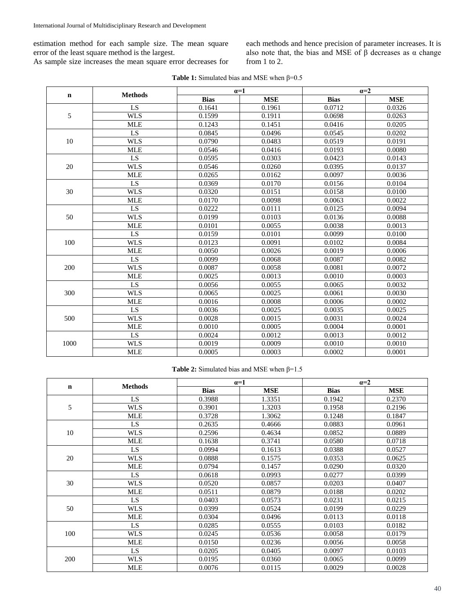estimation method for each sample size. The mean square error of the least square method is the largest.

As sample size increases the mean square error decreases for

each methods and hence precision of parameter increases. It is also note that, the bias and MSE of  $\beta$  decreases as  $\alpha$  change from 1 to 2.

| <b>Table 1:</b> Simulated bias and MSE when $\beta = 0.5$ |  |
|-----------------------------------------------------------|--|
|-----------------------------------------------------------|--|

| $\mathbf n$ | <b>Methods</b> | $\alpha=1$  |            | $a=2$       |            |
|-------------|----------------|-------------|------------|-------------|------------|
|             |                | <b>Bias</b> | <b>MSE</b> | <b>Bias</b> | <b>MSE</b> |
| 5           | LS             | 0.1641      | 0.1961     | 0.0712      | 0.0326     |
|             | <b>WLS</b>     | 0.1599      | 0.1911     | 0.0698      | 0.0263     |
|             | <b>MLE</b>     | 0.1243      | 0.1451     | 0.0416      | 0.0205     |
| 10          | LS             | 0.0845      | 0.0496     | 0.0545      | 0.0202     |
|             | <b>WLS</b>     | 0.0790      | 0.0483     | 0.0519      | 0.0191     |
|             | <b>MLE</b>     | 0.0546      | 0.0416     | 0.0193      | 0.0080     |
| 20          | LS             | 0.0595      | 0.0303     | 0.0423      | 0.0143     |
|             | <b>WLS</b>     | 0.0546      | 0.0260     | 0.0395      | 0.0137     |
|             | <b>MLE</b>     | 0.0265      | 0.0162     | 0.0097      | 0.0036     |
|             | LS             | 0.0369      | 0.0170     | 0.0156      | 0.0104     |
| 30          | <b>WLS</b>     | 0.0320      | 0.0151     | 0.0158      | 0.0100     |
|             | <b>MLE</b>     | 0.0170      | 0.0098     | 0.0063      | 0.0022     |
|             | LS             | 0.0222      | 0.0111     | 0.0125      | 0.0094     |
| 50          | <b>WLS</b>     | 0.0199      | 0.0103     | 0.0136      | 0.0088     |
|             | <b>MLE</b>     | 0.0101      | 0.0055     | 0.0038      | 0.0013     |
|             | LS             | 0.0159      | 0.0101     | 0.0099      | 0.0100     |
| 100         | <b>WLS</b>     | 0.0123      | 0.0091     | 0.0102      | 0.0084     |
|             | <b>MLE</b>     | 0.0050      | 0.0026     | 0.0019      | 0.0006     |
|             | LS             | 0.0099      | 0.0068     | 0.0087      | 0.0082     |
| 200         | <b>WLS</b>     | 0.0087      | 0.0058     | 0.0081      | 0.0072     |
|             | <b>MLE</b>     | 0.0025      | 0.0013     | 0.0010      | 0.0003     |
| 300         | LS             | 0.0056      | 0.0055     | 0.0065      | 0.0032     |
|             | <b>WLS</b>     | 0.0065      | 0.0025     | 0.0061      | 0.0030     |
|             | <b>MLE</b>     | 0.0016      | 0.0008     | 0.0006      | 0.0002     |
|             | LS             | 0.0036      | 0.0025     | 0.0035      | 0.0025     |
| 500         | <b>WLS</b>     | 0.0028      | 0.0015     | 0.0031      | 0.0024     |
|             | <b>MLE</b>     | 0.0010      | 0.0005     | 0.0004      | 0.0001     |
|             | LS             | 0.0024      | 0.0012     | 0.0013      | 0.0012     |
| 1000        | <b>WLS</b>     | 0.0019      | 0.0009     | 0.0010      | 0.0010     |
|             | <b>MLE</b>     | 0.0005      | 0.0003     | 0.0002      | 0.0001     |

# **Table 2:** Simulated bias and MSE when β=1.5

| $\mathbf n$ | <b>Methods</b> | $\alpha=1$  |            | $\alpha=2$  |            |
|-------------|----------------|-------------|------------|-------------|------------|
|             |                | <b>Bias</b> | <b>MSE</b> | <b>Bias</b> | <b>MSE</b> |
| 5           | LS             | 0.3988      | 1.3351     | 0.1942      | 0.2370     |
|             | <b>WLS</b>     | 0.3901      | 1.3203     | 0.1958      | 0.2196     |
|             | <b>MLE</b>     | 0.3728      | 1.3062     | 0.1248      | 0.1847     |
| 10          | <b>LS</b>      | 0.2635      | 0.4666     | 0.0883      | 0.0961     |
|             | <b>WLS</b>     | 0.2596      | 0.4634     | 0.0852      | 0.0889     |
|             | <b>MLE</b>     | 0.1638      | 0.3741     | 0.0580      | 0.0718     |
| 20          | LS             | 0.0994      | 0.1613     | 0.0388      | 0.0527     |
|             | <b>WLS</b>     | 0.0888      | 0.1575     | 0.0353      | 0.0625     |
|             | <b>MLE</b>     | 0.0794      | 0.1457     | 0.0290      | 0.0320     |
|             | <b>LS</b>      | 0.0618      | 0.0993     | 0.0277      | 0.0399     |
| 30          | <b>WLS</b>     | 0.0520      | 0.0857     | 0.0203      | 0.0407     |
|             | <b>MLE</b>     | 0.0511      | 0.0879     | 0.0188      | 0.0202     |
| 50          | LS.            | 0.0403      | 0.0573     | 0.0231      | 0.0215     |
|             | <b>WLS</b>     | 0.0399      | 0.0524     | 0.0199      | 0.0229     |
|             | <b>MLE</b>     | 0.0304      | 0.0496     | 0.0113      | 0.0118     |
| 100         | LS             | 0.0285      | 0.0555     | 0.0103      | 0.0182     |
|             | <b>WLS</b>     | 0.0245      | 0.0536     | 0.0058      | 0.0179     |
|             | <b>MLE</b>     | 0.0150      | 0.0236     | 0.0056      | 0.0058     |
| 200         | <b>LS</b>      | 0.0205      | 0.0405     | 0.0097      | 0.0103     |
|             | <b>WLS</b>     | 0.0195      | 0.0360     | 0.0065      | 0.0099     |
|             | <b>MLE</b>     | 0.0076      | 0.0115     | 0.0029      | 0.0028     |